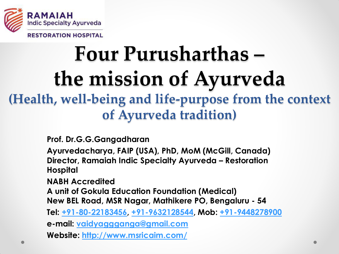

**RESTORATION HOSPITAL** 

# **Four Purusharthas – the mission of Ayurveda (Health, well-being and life-purpose from the context of Ayurveda tradition)**

**Prof. Dr.G.G.Gangadharan** 

**Ayurvedacharya, FAIP (USA), PhD, MoM (McGill, Canada) Director, Ramaiah Indic Specialty Ayurveda – Restoration Hospital** 

**NABH Accredited** 

**A unit of Gokula Education Foundation (Medical) New BEL Road, MSR Nagar, Mathikere PO, Bengaluru - 54**

**Tel: +91-80-22183456, +91-9632128544, Mob: +91-9448278900**

**e-mail: [vaidyaggganga@gmail.com](mailto:vaidyaggganga@gmail.com)** 

**Website:<http://www.msricaim.com/>**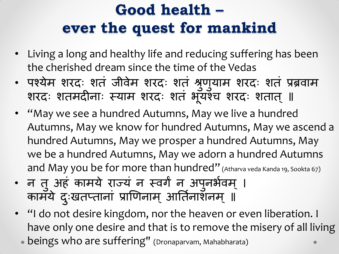# **Good health – ever the quest for mankind**

- Living a long and healthy life and reducing suffering has been the cherished dream since the time of the Vedas
- पश्येम शरदः शतं जीवेम शरदः शतं श्रुणुयाम शरदः शतं प्रब्रवाम शरदः शतमदीनाः स्याम शरदः शतं भूयश्च शरदः शतात् ॥
- "May we see a hundred Autumns, May we live a hundred Autumns, May we know for hundred Autumns, May we ascend a hundred Autumns, May we prosper a hundred Autumns, May we be a hundred Autumns, May we adorn a hundred Autumns and May you be for more than hundred" (Atharva veda Kanda 19, Sookta 67)
- न तु अहं कामये राज्य न स्वर्गं न अपुनर्भवम् । कामॅये दुःखतप्तानां प्राणिनाम् आर्तिनाशनम् ॥
- "I do not desire kingdom, nor the heaven or even liberation. I have only one desire and that is to remove the misery of all living
	- beings who are suffering" (Dronaparvam, Mahabharata)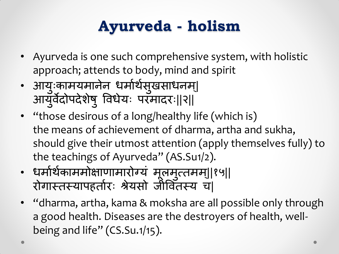# **Ayurveda - holism**

- Ayurveda is one such comprehensive system, with holistic approach; attends to body, mind and spirit
- आयुःकामयमानेन धर्माथैसुखसाधनम्| आयुर्वेदोपदेशेषु विधैयः परमादरः||२||
- "those desirous of a long/healthy life (which is) the means of achievement of dharma, artha and sukha, should give their utmost attention (apply themselves fully) to the teachings of Ayurveda" (AS.Su1/2).
- धर्मार्थकाममोक्षाणामारोग्य मूलमुत्तमम्||१५|| रोगास्तस्यापहतोरः श्रेयसो जीवितस्य च|
- "dharma, artha, kama & moksha are all possible only through a good health. Diseases are the destroyers of health, wellbeing and life"  $(CS.Su.1/15)$ .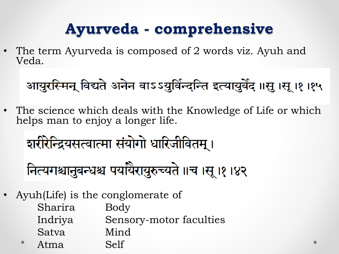### **Ayurveda - comprehensive**

The term Ayurveda is composed of 2 words viz. Ayuh and Veda.

# आयुरस्मिन् विद्यते अनेन वाऽऽयुर्विन्दन्ति इत्यायुर्वेद ॥सू ।सू ।१ ।१५

• The science which deals with the Knowledge of Life or which helps man to enjoy a longer life.

नित्यगश्चानुबन्धश्च पयर्थिरायुरुच्यते ॥च ।सू ।१ ।४२

• Ayuh(Life) is the conglomerate of

| Sharira | Body                    |
|---------|-------------------------|
| Indriya | Sensory-motor faculties |
| Satva   | Mind                    |
| Atma    | Self                    |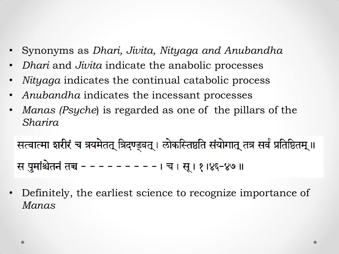- Synonyms as *Dhari, Jivita, Nityaga and Anubandha*
- *Dhari* and *Jivita* indicate the anabolic processes
- *Nityaga* indicates the continual catabolic process
- *Anubandha* indicates the incessant processes
- *Manas (Psyche*) is regarded as one of the pillars of the *Sharira*

सत्वात्मा शरीरं च त्रयमेतत् त्रिदण्ड्वत् । लोकस्तिष्ठति संयोगात् तत्र सर्वं प्रतिष्ठितम् ॥ स पुमांश्चेतनं तच - - - - - - - - - । च । सू । १ १४६-४७ ॥

• Definitely, the earliest science to recognize importance of *Manas*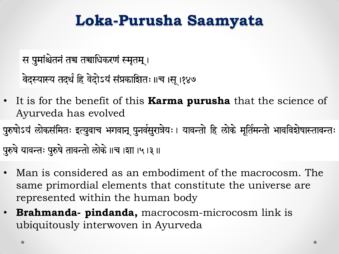### **Loka-Purusha Saamyata**

स पुमांश्चेतनं तच तचाधिकरणं स्मृतम् । वेदस्यास्य तदर्थं हि वेदोऽयं संप्रकाशितः ॥च ।सू ।१४७

• It is for the benefit of this **Karma purusha** that the science of Ayurveda has evolved

पुरुषोऽयं लोकसंमितः इत्युवाच भगवान् पुनर्वसुरात्रेयः। यावन्तो हि लोके मूर्तिमन्तो भावविशेषास्तावन्तः पुरुषे यावन्तः पुरुषे तावन्तो लोके ॥च ।शा ।५ ।३ ॥

- Man is considered as an embodiment of the macrocosm. The same primordial elements that constitute the universe are represented within the human body
- **Brahmanda- pindanda,** macrocosm-microcosm link is ubiquitously interwoven in Ayurveda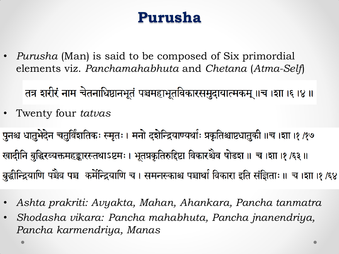#### **Purusha**

• *Purusha* (Man) is said to be composed of Six primordial elements viz. *Panchamahabhuta* and *Chetana* (*Atma-Self*)

तत्र शरीरं नाम चेतनाधिष्ठानभूतं पञ्चमहाभूतविकारसमुदायात्मकम् ॥च ।शा ।६ ।४ ॥

• Twenty four *tatvas*

पुनश्च धातुभेदेन चतुर्विंशतिकः स्मृतः । मनो दशेन्द्रियाण्यर्थाः प्रकृतिश्चाष्टधातुकी ॥च ।शा ।१ /१७ खादीनि बुद्धिरव्यक्तमहङ्कारस्तथाऽष्टमः । भूतप्रकृतिरुद्दिष्टा विकारश्चैव षोडश ॥ च ।शा ।१/६३ ॥ बुद्धीन्द्रियाणि पञ्चैव पञ्च कर्मेन्द्रियाणि च। समनस्काश्च पञ्चार्था विकारा इति संज्ञिताः ॥ च।शा ।१/६४

- *Ashta prakriti: Avyakta, Mahan, Ahankara, Pancha tanmatra*
- *Shodasha vikara: Pancha mahabhuta, Pancha jnanendriya, Pancha karmendriya, Manas*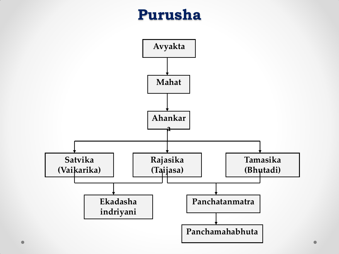#### **Purusha**

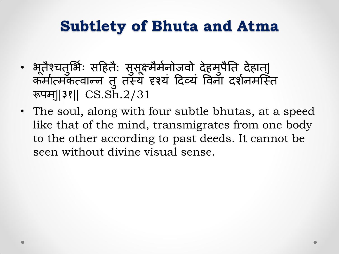### **Subtlety of Bhuta and Atma**

- भूतैश्चतुर्भिः सहितै: सुसूक्ष्मैर्मेर्नोजवो देहमुपैति देहात्| कमोत्मकत्वान्न तु तस्य दृश्य दिव्यं विना दर्शनमस्ति । रूपम||३१|| CS.Sh.2/31
- The soul, along with four subtle bhutas, at a speed like that of the mind, transmigrates from one body to the other according to past deeds. It cannot be seen without divine visual sense.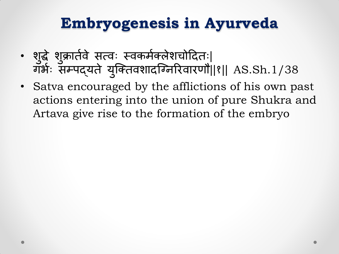## **Embryogenesis in Ayurveda**

- शुद्धे शुक्रार्तवे सत्वः स्वकर्मक्लेशचोदितः| गर्भः सम्पद्यते युक्तिवशादग्निरिवारणौ||१|| AS.Sh.1/38 |
- Satva encouraged by the afflictions of his own past actions entering into the union of pure Shukra and Artava give rise to the formation of the embryo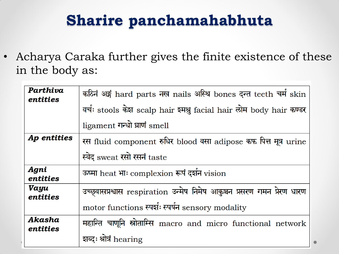# **Sharire panchamahabhuta**

• Acharya Caraka further gives the finite existence of these in the body as:

| Parthiva<br>entities | कठिनं अङ्गं hard parts नख nails अस्थि bones दन्त teeth चर्म skin<br>वर्चः stools केश scalp hair रमश्नु facial hair लोम body hair कण्डर |
|----------------------|----------------------------------------------------------------------------------------------------------------------------------------|
|                      | ligament गन्धो घ्राणं smell                                                                                                            |
| Ap entities          | रस fluid component रुधिर blood वसा adipose कफ पित्त मूत्र urine                                                                        |
|                      | स्वेद sweat रसो रसनं taste                                                                                                             |
|                      |                                                                                                                                        |
| Agni<br>entities     | ऊष्मा heat भाः complexion रूपं दर्शन vision                                                                                            |
| Vayu<br>entities     | उच्छ्वासप्रश्वास respiration उन्मेष निमेष आकुञ्चन प्रसरण गमन प्रेरण धारण                                                               |
|                      | motor functions स्पर्शः स्पर्षन sensory modality                                                                                       |
| Akasha<br>entities   | महान्ति चाणूनि स्रोताम्सि macro and micro functional network                                                                           |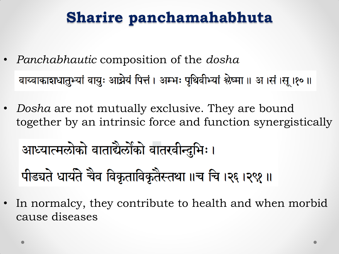# **Sharire panchamahabhuta**

- *Panchabhautic* composition of the *dosha*  वाय्वाकाशधातुभ्यां वायुः आग्नेयं पित्तं । अम्भः पृथिवीभ्यां श्लेष्मा ॥ अ ।सं ।सू ।१० ॥
- *Dosha* are not mutually exclusive. They are bound together by an intrinsic force and function synergistically

आध्यात्मलोको वाताद्यैर्लोको वातरवीन्दुभिः । पीड्यते धार्यते चैव विकृताविकृतैस्तथा ॥च चि ।२६ ।२९१ ॥

In normalcy, they contribute to health and when morbid cause diseases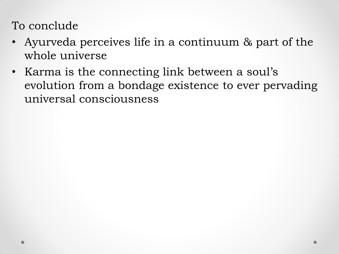To conclude

- Ayurveda perceives life in a continuum & part of the whole universe
- Karma is the connecting link between a soul's evolution from a bondage existence to ever pervading universal consciousness